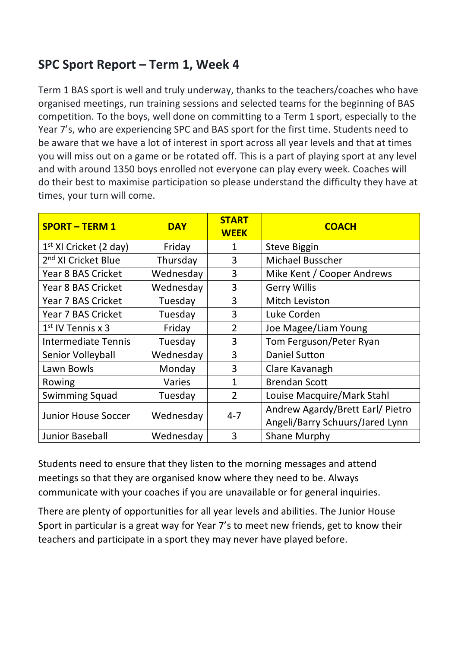# **SPC Sport Report – Term 1, Week 4**

Term 1 BAS sport is well and truly underway, thanks to the teachers/coaches who have organised meetings, run training sessions and selected teams for the beginning of BAS competition. To the boys, well done on committing to a Term 1 sport, especially to the Year 7's, who are experiencing SPC and BAS sport for the first time. Students need to be aware that we have a lot of interest in sport across all year levels and that at times you will miss out on a game or be rotated off. This is a part of playing sport at any level and with around 1350 boys enrolled not everyone can play every week. Coaches will do their best to maximise participation so please understand the difficulty they have at times, your turn will come.

| <b>SPORT - TERM 1</b>           | <b>DAY</b> | <b>START</b><br><b>WEEK</b> | <b>COACH</b>                     |
|---------------------------------|------------|-----------------------------|----------------------------------|
| $1st$ XI Cricket (2 day)        | Friday     | 1                           | <b>Steve Biggin</b>              |
| 2 <sup>nd</sup> XI Cricket Blue | Thursday   | 3                           | <b>Michael Busscher</b>          |
| Year 8 BAS Cricket              | Wednesday  | 3                           | Mike Kent / Cooper Andrews       |
| Year 8 BAS Cricket              | Wednesday  | 3                           | <b>Gerry Willis</b>              |
| Year 7 BAS Cricket              | Tuesday    | 3                           | Mitch Leviston                   |
| Year 7 BAS Cricket              | Tuesday    | 3                           | Luke Corden                      |
| $1st$ IV Tennis x 3             | Friday     | $\overline{2}$              | Joe Magee/Liam Young             |
| <b>Intermediate Tennis</b>      | Tuesday    | 3                           | Tom Ferguson/Peter Ryan          |
| Senior Volleyball               | Wednesday  | 3                           | <b>Daniel Sutton</b>             |
| Lawn Bowls                      | Monday     | 3                           | Clare Kavanagh                   |
| Rowing                          | Varies     | $\mathbf{1}$                | <b>Brendan Scott</b>             |
| <b>Swimming Squad</b>           | Tuesday    | $\overline{2}$              | Louise Macquire/Mark Stahl       |
| <b>Junior House Soccer</b>      | Wednesday  | $4 - 7$                     | Andrew Agardy/Brett Earl/ Pietro |
|                                 |            |                             | Angeli/Barry Schuurs/Jared Lynn  |
| <b>Junior Baseball</b>          | Wednesday  | 3                           | <b>Shane Murphy</b>              |

Students need to ensure that they listen to the morning messages and attend meetings so that they are organised know where they need to be. Always communicate with your coaches if you are unavailable or for general inquiries.

There are plenty of opportunities for all year levels and abilities. The Junior House Sport in particular is a great way for Year 7's to meet new friends, get to know their teachers and participate in a sport they may never have played before.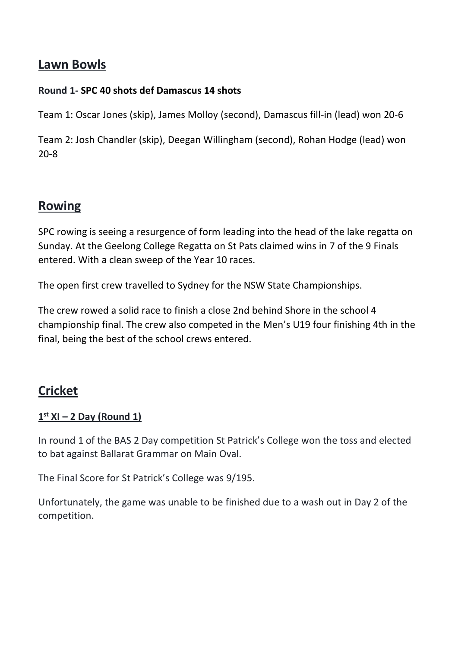### **Lawn Bowls**

#### **Round 1- SPC 40 shots def Damascus 14 shots**

Team 1: Oscar Jones (skip), James Molloy (second), Damascus fill-in (lead) won 20-6

Team 2: Josh Chandler (skip), Deegan Willingham (second), Rohan Hodge (lead) won 20-8

## **Rowing**

SPC rowing is seeing a resurgence of form leading into the head of the lake regatta on Sunday. At the Geelong College Regatta on St Pats claimed wins in 7 of the 9 Finals entered. With a clean sweep of the Year 10 races.

The open first crew travelled to Sydney for the NSW State Championships.

The crew rowed a solid race to finish a close 2nd behind Shore in the school 4 championship final. The crew also competed in the Men's U19 four finishing 4th in the final, being the best of the school crews entered.

# **Cricket**

#### **1 st XI – 2 Day (Round 1)**

In round 1 of the BAS 2 Day competition St Patrick's College won the toss and elected to bat against Ballarat Grammar on Main Oval.

The Final Score for St Patrick's College was 9/195.

Unfortunately, the game was unable to be finished due to a wash out in Day 2 of the competition.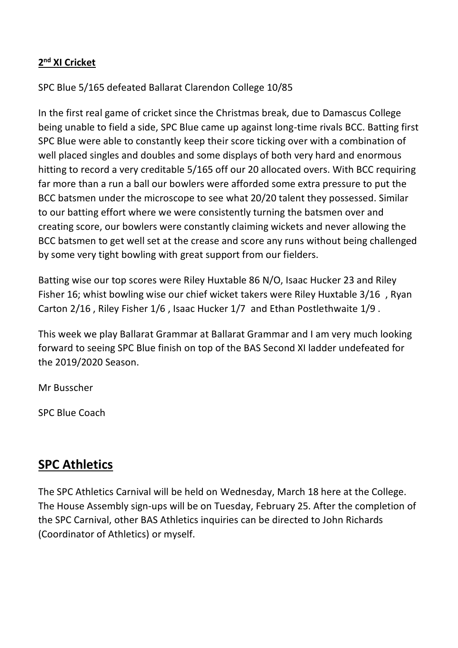#### **2 nd XI Cricket**

SPC Blue 5/165 defeated Ballarat Clarendon College 10/85

In the first real game of cricket since the Christmas break, due to Damascus College being unable to field a side, SPC Blue came up against long-time rivals BCC. Batting first SPC Blue were able to constantly keep their score ticking over with a combination of well placed singles and doubles and some displays of both very hard and enormous hitting to record a very creditable 5/165 off our 20 allocated overs. With BCC requiring far more than a run a ball our bowlers were afforded some extra pressure to put the BCC batsmen under the microscope to see what 20/20 talent they possessed. Similar to our batting effort where we were consistently turning the batsmen over and creating score, our bowlers were constantly claiming wickets and never allowing the BCC batsmen to get well set at the crease and score any runs without being challenged by some very tight bowling with great support from our fielders.

Batting wise our top scores were Riley Huxtable 86 N/O, Isaac Hucker 23 and Riley Fisher 16; whist bowling wise our chief wicket takers were Riley Huxtable 3/16 , Ryan Carton 2/16 , Riley Fisher 1/6 , Isaac Hucker 1/7 and Ethan Postlethwaite 1/9 .

This week we play Ballarat Grammar at Ballarat Grammar and I am very much looking forward to seeing SPC Blue finish on top of the BAS Second XI ladder undefeated for the 2019/2020 Season.

Mr Busscher

SPC Blue Coach

## **SPC Athletics**

The SPC Athletics Carnival will be held on Wednesday, March 18 here at the College. The House Assembly sign-ups will be on Tuesday, February 25. After the completion of the SPC Carnival, other BAS Athletics inquiries can be directed to John Richards (Coordinator of Athletics) or myself.